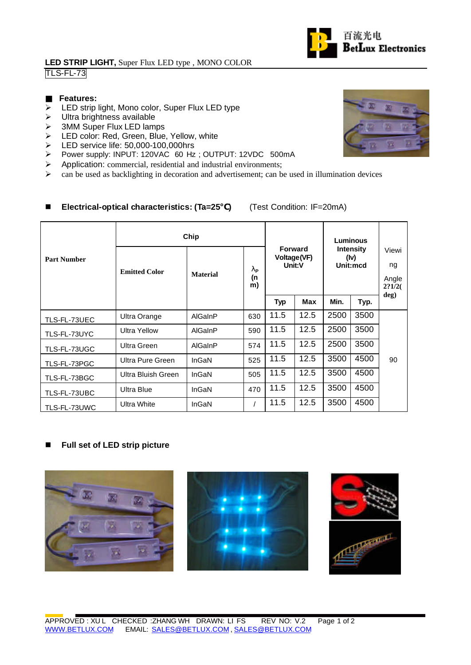### **LED STRIP LIGHT,** Super Flux LED type , MONO COLOR TLS-FL-73

### **Features:**

- $\triangleright$  LED strip light, Mono color, Super Flux LED type
- $\triangleright$  Ultra brightness available
- > 3MM Super Flux LED lamps
- ▶ LED color: Red, Green, Blue, Yellow, white
- ED service life: 50,000-100,000hrs<br>
> Power supply: INPUT: 120VAC 60 Hz
- Power supply: INPUT: 120VAC 60 Hz; OUTPUT: 12VDC 500mA
- $\triangleright$  Application: commercial, residential and industrial environments;
- $\triangleright$  can be used as backlighting in decoration and advertisement; can be used in illumination devices

## n **Electrical-optical characteristics: (Ta=25 )** (Test Condition: IF=20mA)

|                    | Chip                 |                 |                                       |                                         |      | <b>Luminous</b>                      |      |                                |
|--------------------|----------------------|-----------------|---------------------------------------|-----------------------------------------|------|--------------------------------------|------|--------------------------------|
| <b>Part Number</b> | <b>Emitted Color</b> | <b>Material</b> | $\mathbf{I}_{\mathrm{P}}$<br>(n<br>m) | <b>Forward</b><br>Voltage(VF)<br>Unit:V |      | <b>Intensity</b><br>(lv)<br>Unit:mcd |      | Viewi<br>ng<br>Angle<br>2?1/2( |
|                    |                      |                 |                                       | <b>Typ</b>                              | Max  | Min.                                 | Typ. | deg)                           |
| TLS-FL-73UEC       | Ultra Orange         | AlGaInP         | 630                                   | 11.5                                    | 12.5 | 2500                                 | 3500 |                                |
| TLS-FL-73UYC       | <b>Ultra Yellow</b>  | AlGaInP         | 590                                   | 11.5                                    | 12.5 | 2500                                 | 3500 |                                |
| TLS-FL-73UGC       | Ultra Green          | AlGaInP         | 574                                   | 11.5                                    | 12.5 | 2500                                 | 3500 |                                |
| TLS-FL-73PGC       | Ultra Pure Green     | InGaN           | 525                                   | 11.5                                    | 12.5 | 3500                                 | 4500 | 90                             |
| TLS-FL-73BGC       | Ultra Bluish Green   | InGaN           | 505                                   | 11.5                                    | 12.5 | 3500                                 | 4500 |                                |
| TLS-FL-73UBC       | <b>Ultra Blue</b>    | InGaN           | 470                                   | 11.5                                    | 12.5 | 3500                                 | 4500 |                                |
| TLS-FL-73UWC       | Ultra White          | InGaN           |                                       | 11.5                                    | 12.5 | 3500                                 | 4500 |                                |

# ■ Full set of LED strip picture









百流光电

**BetLux Electronics**